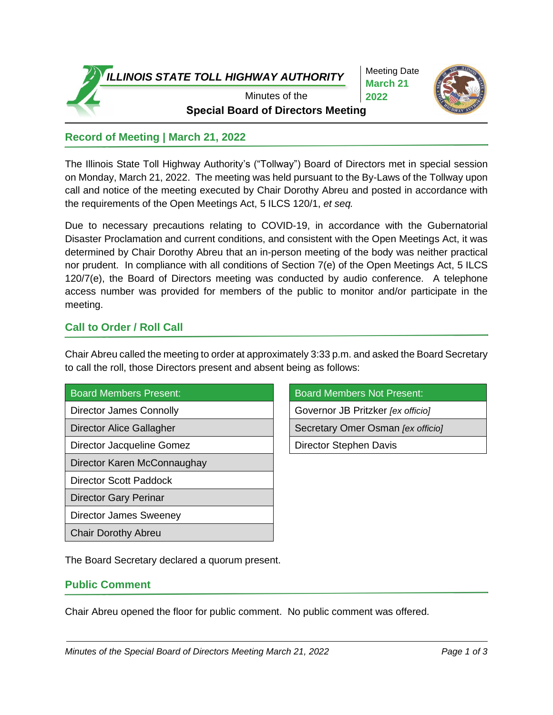

Meeting Date **March 21 2022**



2020 **Special Board of Directors Meeting** Minutes of the

# **Record of Meeting | March 21, 2022**

The Illinois State Toll Highway Authority's ("Tollway") Board of Directors met in special session on Monday, March 21, 2022. The meeting was held pursuant to the By-Laws of the Tollway upon call and notice of the meeting executed by Chair Dorothy Abreu and posted in accordance with the requirements of the Open Meetings Act, 5 ILCS 120/1, *et seq.*

Due to necessary precautions relating to COVID-19, in accordance with the Gubernatorial Disaster Proclamation and current conditions, and consistent with the Open Meetings Act, it was determined by Chair Dorothy Abreu that an in-person meeting of the body was neither practical nor prudent. In compliance with all conditions of Section 7(e) of the Open Meetings Act, 5 ILCS 120/7(e), the Board of Directors meeting was conducted by audio conference. A telephone access number was provided for members of the public to monitor and/or participate in the meeting.

## **Call to Order / Roll Call**

Chair Abreu called the meeting to order at approximately 3:33 p.m. and asked the Board Secretary to call the roll, those Directors present and absent being as follows:

#### Board Members Present: Board Members Not Present:

Director Jacqueline Gomez **Director Stephen Davis** 

Director Karen McConnaughay

Director Scott Paddock

Director Gary Perinar

Director James Sweeney

Chair Dorothy Abreu

Director James Connolly **Governor JB** Pritzker *[ex officio]* 

Director Alice Gallagher Secretary Omer Osman *[ex officio]*

The Board Secretary declared a quorum present.

#### **Public Comment**

Chair Abreu opened the floor for public comment. No public comment was offered.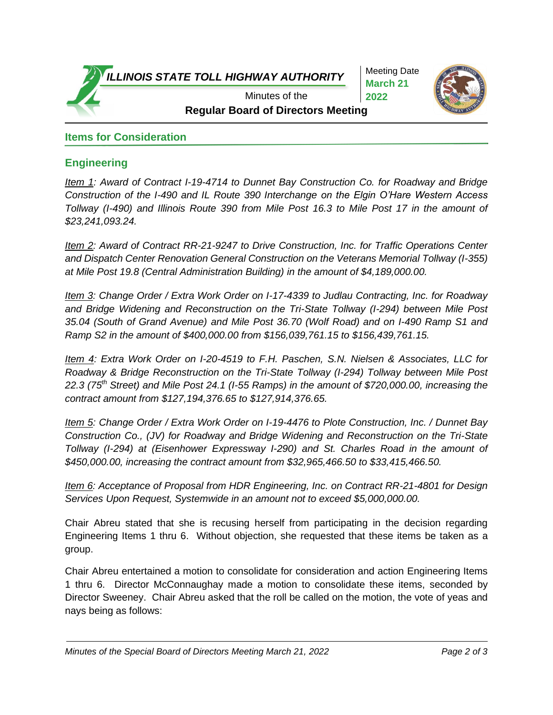*ILLINOIS STATE TOLL HIGHWAY AUTHORITY*

Meeting Date **March 21 2022**



**Regular Board of Directors Meeting** Minutes of the

### **Items for Consideration**

### **Engineering**

*Item 1: Award of Contract I-19-4714 to Dunnet Bay Construction Co. for Roadway and Bridge Construction of the I-490 and IL Route 390 Interchange on the Elgin O'Hare Western Access Tollway (I-490) and Illinois Route 390 from Mile Post 16.3 to Mile Post 17 in the amount of \$23,241,093.24.*

*Item 2: Award of Contract RR-21-9247 to Drive Construction, Inc. for Traffic Operations Center and Dispatch Center Renovation General Construction on the Veterans Memorial Tollway (I-355) at Mile Post 19.8 (Central Administration Building) in the amount of \$4,189,000.00.*

*Item 3: Change Order / Extra Work Order on I-17-4339 to Judlau Contracting, Inc. for Roadway and Bridge Widening and Reconstruction on the Tri-State Tollway (I-294) between Mile Post 35.04 (South of Grand Avenue) and Mile Post 36.70 (Wolf Road) and on I-490 Ramp S1 and Ramp S2 in the amount of \$400,000.00 from \$156,039,761.15 to \$156,439,761.15.* 

*Item 4: Extra Work Order on I-20-4519 to F.H. Paschen, S.N. Nielsen & Associates, LLC for Roadway & Bridge Reconstruction on the Tri-State Tollway (I-294) Tollway between Mile Post 22.3 (75th Street) and Mile Post 24.1 (I-55 Ramps) in the amount of \$720,000.00, increasing the contract amount from \$127,194,376.65 to \$127,914,376.65.*

*Item 5: Change Order / Extra Work Order on I-19-4476 to Plote Construction, Inc. / Dunnet Bay Construction Co., (JV) for Roadway and Bridge Widening and Reconstruction on the Tri-State Tollway (I-294) at (Eisenhower Expressway I-290) and St. Charles Road in the amount of \$450,000.00, increasing the contract amount from \$32,965,466.50 to \$33,415,466.50.*

*Item 6: Acceptance of Proposal from HDR Engineering, Inc. on Contract RR-21-4801 for Design Services Upon Request, Systemwide in an amount not to exceed \$5,000,000.00.*

Chair Abreu stated that she is recusing herself from participating in the decision regarding Engineering Items 1 thru 6. Without objection, she requested that these items be taken as a group.

Chair Abreu entertained a motion to consolidate for consideration and action Engineering Items 1 thru 6. Director McConnaughay made a motion to consolidate these items, seconded by Director Sweeney. Chair Abreu asked that the roll be called on the motion, the vote of yeas and nays being as follows: